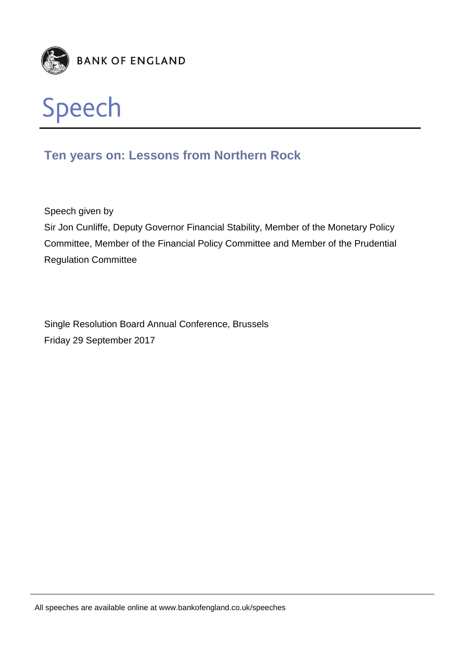



# **Ten years on: Lessons from Northern Rock**

Speech given by

Sir Jon Cunliffe, Deputy Governor Financial Stability, Member of the Monetary Policy Committee, Member of the Financial Policy Committee and Member of the Prudential Regulation Committee

Single Resolution Board Annual Conference, Brussels Friday 29 September 2017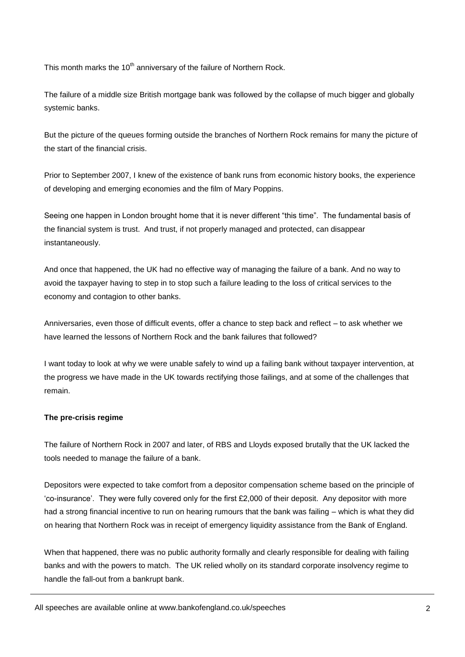This month marks the 10<sup>th</sup> anniversary of the failure of Northern Rock.

The failure of a middle size British mortgage bank was followed by the collapse of much bigger and globally systemic banks.

But the picture of the queues forming outside the branches of Northern Rock remains for many the picture of the start of the financial crisis.

Prior to September 2007, I knew of the existence of bank runs from economic history books, the experience of developing and emerging economies and the film of Mary Poppins.

Seeing one happen in London brought home that it is never different "this time". The fundamental basis of the financial system is trust. And trust, if not properly managed and protected, can disappear instantaneously.

And once that happened, the UK had no effective way of managing the failure of a bank. And no way to avoid the taxpayer having to step in to stop such a failure leading to the loss of critical services to the economy and contagion to other banks.

Anniversaries, even those of difficult events, offer a chance to step back and reflect – to ask whether we have learned the lessons of Northern Rock and the bank failures that followed?

I want today to look at why we were unable safely to wind up a failing bank without taxpayer intervention, at the progress we have made in the UK towards rectifying those failings, and at some of the challenges that remain.

# **The pre-crisis regime**

The failure of Northern Rock in 2007 and later, of RBS and Lloyds exposed brutally that the UK lacked the tools needed to manage the failure of a bank.

Depositors were expected to take comfort from a depositor compensation scheme based on the principle of 'co-insurance'. They were fully covered only for the first £2,000 of their deposit. Any depositor with more had a strong financial incentive to run on hearing rumours that the bank was failing – which is what they did on hearing that Northern Rock was in receipt of emergency liquidity assistance from the Bank of England.

When that happened, there was no public authority formally and clearly responsible for dealing with failing banks and with the powers to match. The UK relied wholly on its standard corporate insolvency regime to handle the fall-out from a bankrupt bank.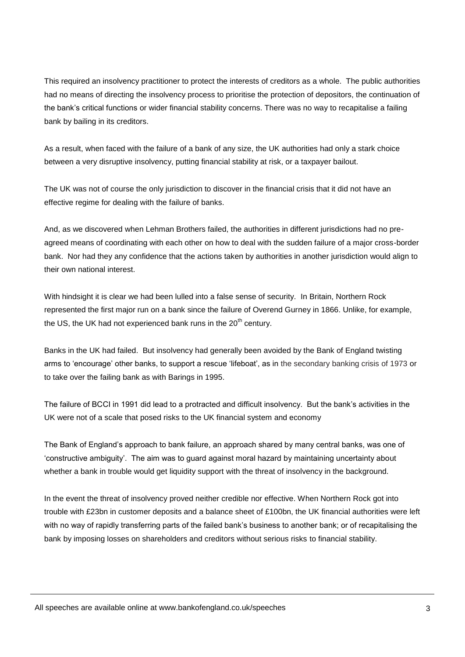This required an insolvency practitioner to protect the interests of creditors as a whole. The public authorities had no means of directing the insolvency process to prioritise the protection of depositors, the continuation of the bank's critical functions or wider financial stability concerns. There was no way to recapitalise a failing bank by bailing in its creditors.

As a result, when faced with the failure of a bank of any size, the UK authorities had only a stark choice between a very disruptive insolvency, putting financial stability at risk, or a taxpayer bailout.

The UK was not of course the only jurisdiction to discover in the financial crisis that it did not have an effective regime for dealing with the failure of banks.

And, as we discovered when Lehman Brothers failed, the authorities in different jurisdictions had no preagreed means of coordinating with each other on how to deal with the sudden failure of a major cross-border bank. Nor had they any confidence that the actions taken by authorities in another jurisdiction would align to their own national interest.

With hindsight it is clear we had been lulled into a false sense of security. In Britain, Northern Rock represented the first major run on a bank since the failure of Overend Gurney in 1866. Unlike, for example, the US, the UK had not experienced bank runs in the  $20<sup>th</sup>$  century.

Banks in the UK had failed. But insolvency had generally been avoided by the Bank of England twisting arms to 'encourage' other banks, to support a rescue 'lifeboat', as in the secondary banking crisis of 1973 or to take over the failing bank as with Barings in 1995.

The failure of BCCI in 1991 did lead to a protracted and difficult insolvency. But the bank's activities in the UK were not of a scale that posed risks to the UK financial system and economy

The Bank of England's approach to bank failure, an approach shared by many central banks, was one of 'constructive ambiguity'. The aim was to guard against moral hazard by maintaining uncertainty about whether a bank in trouble would get liquidity support with the threat of insolvency in the background.

In the event the threat of insolvency proved neither credible nor effective. When Northern Rock got into trouble with £23bn in customer deposits and a balance sheet of £100bn, the UK financial authorities were left with no way of rapidly transferring parts of the failed bank's business to another bank; or of recapitalising the bank by imposing losses on shareholders and creditors without serious risks to financial stability.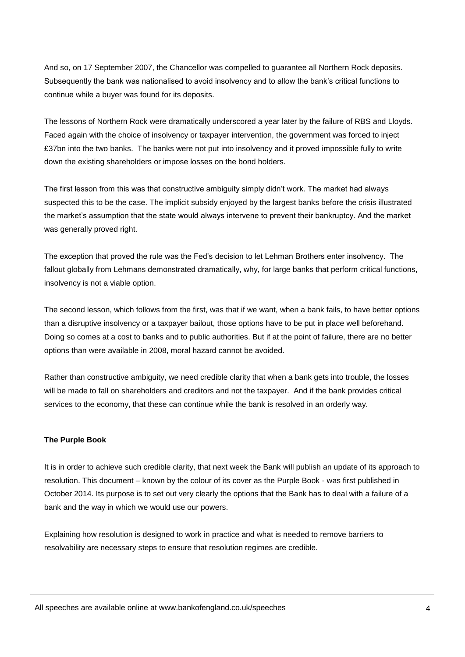And so, on 17 September 2007, the Chancellor was compelled to guarantee all Northern Rock deposits. Subsequently the bank was nationalised to avoid insolvency and to allow the bank's critical functions to continue while a buyer was found for its deposits.

The lessons of Northern Rock were dramatically underscored a year later by the failure of RBS and Lloyds. Faced again with the choice of insolvency or taxpayer intervention, the government was forced to inject £37bn into the two banks. The banks were not put into insolvency and it proved impossible fully to write down the existing shareholders or impose losses on the bond holders.

The first lesson from this was that constructive ambiguity simply didn't work. The market had always suspected this to be the case. The implicit subsidy enjoyed by the largest banks before the crisis illustrated the market's assumption that the state would always intervene to prevent their bankruptcy. And the market was generally proved right.

The exception that proved the rule was the Fed's decision to let Lehman Brothers enter insolvency. The fallout globally from Lehmans demonstrated dramatically, why, for large banks that perform critical functions, insolvency is not a viable option.

The second lesson, which follows from the first, was that if we want, when a bank fails, to have better options than a disruptive insolvency or a taxpayer bailout, those options have to be put in place well beforehand. Doing so comes at a cost to banks and to public authorities. But if at the point of failure, there are no better options than were available in 2008, moral hazard cannot be avoided.

Rather than constructive ambiguity, we need credible clarity that when a bank gets into trouble, the losses will be made to fall on shareholders and creditors and not the taxpayer. And if the bank provides critical services to the economy, that these can continue while the bank is resolved in an orderly way.

## **The Purple Book**

It is in order to achieve such credible clarity, that next week the Bank will publish an update of its approach to resolution. This document – known by the colour of its cover as the Purple Book - was first published in October 2014. Its purpose is to set out very clearly the options that the Bank has to deal with a failure of a bank and the way in which we would use our powers.

Explaining how resolution is designed to work in practice and what is needed to remove barriers to resolvability are necessary steps to ensure that resolution regimes are credible.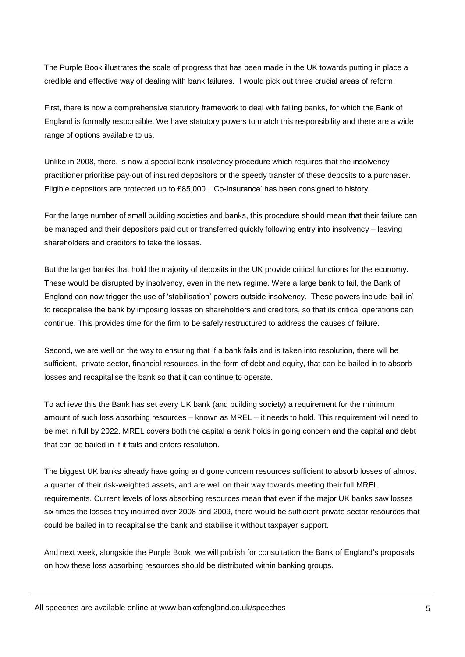The Purple Book illustrates the scale of progress that has been made in the UK towards putting in place a credible and effective way of dealing with bank failures. I would pick out three crucial areas of reform:

First, there is now a comprehensive statutory framework to deal with failing banks, for which the Bank of England is formally responsible. We have statutory powers to match this responsibility and there are a wide range of options available to us.

Unlike in 2008, there, is now a special bank insolvency procedure which requires that the insolvency practitioner prioritise pay-out of insured depositors or the speedy transfer of these deposits to a purchaser. Eligible depositors are protected up to £85,000. 'Co-insurance' has been consigned to history.

For the large number of small building societies and banks, this procedure should mean that their failure can be managed and their depositors paid out or transferred quickly following entry into insolvency – leaving shareholders and creditors to take the losses.

But the larger banks that hold the majority of deposits in the UK provide critical functions for the economy. These would be disrupted by insolvency, even in the new regime. Were a large bank to fail, the Bank of England can now trigger the use of 'stabilisation' powers outside insolvency. These powers include 'bail-in' to recapitalise the bank by imposing losses on shareholders and creditors, so that its critical operations can continue. This provides time for the firm to be safely restructured to address the causes of failure.

Second, we are well on the way to ensuring that if a bank fails and is taken into resolution, there will be sufficient, private sector, financial resources, in the form of debt and equity, that can be bailed in to absorb losses and recapitalise the bank so that it can continue to operate.

To achieve this the Bank has set every UK bank (and building society) a requirement for the minimum amount of such loss absorbing resources – known as MREL – it needs to hold. This requirement will need to be met in full by 2022. MREL covers both the capital a bank holds in going concern and the capital and debt that can be bailed in if it fails and enters resolution.

The biggest UK banks already have going and gone concern resources sufficient to absorb losses of almost a quarter of their risk-weighted assets, and are well on their way towards meeting their full MREL requirements. Current levels of loss absorbing resources mean that even if the major UK banks saw losses six times the losses they incurred over 2008 and 2009, there would be sufficient private sector resources that could be bailed in to recapitalise the bank and stabilise it without taxpayer support.

And next week, alongside the Purple Book, we will publish for consultation the Bank of England's proposals on how these loss absorbing resources should be distributed within banking groups.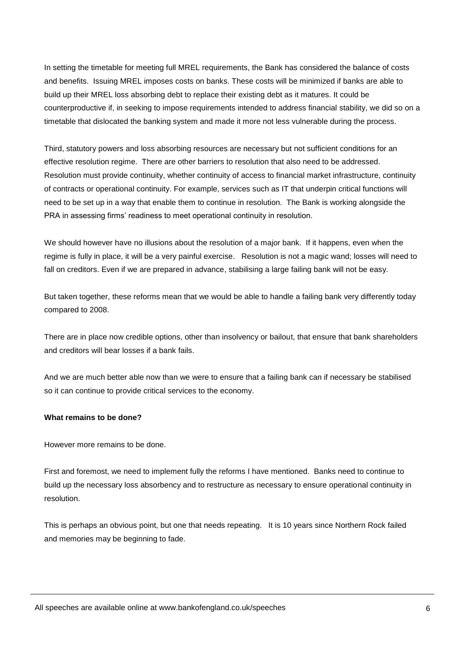In setting the timetable for meeting full MREL requirements, the Bank has considered the balance of costs and benefits. Issuing MREL imposes costs on banks. These costs will be minimized if banks are able to build up their MREL loss absorbing debt to replace their existing debt as it matures. It could be counterproductive if, in seeking to impose requirements intended to address financial stability, we did so on a timetable that dislocated the banking system and made it more not less vulnerable during the process.

Third, statutory powers and loss absorbing resources are necessary but not sufficient conditions for an effective resolution regime. There are other barriers to resolution that also need to be addressed. Resolution must provide continuity, whether continuity of access to financial market infrastructure, continuity of contracts or operational continuity. For example, services such as IT that underpin critical functions will need to be set up in a way that enable them to continue in resolution. The Bank is working alongside the PRA in assessing firms' readiness to meet operational continuity in resolution.

We should however have no illusions about the resolution of a major bank. If it happens, even when the regime is fully in place, it will be a very painful exercise. Resolution is not a magic wand; losses will need to fall on creditors. Even if we are prepared in advance, stabilising a large failing bank will not be easy.

But taken together, these reforms mean that we would be able to handle a failing bank very differently today compared to 2008.

There are in place now credible options, other than insolvency or bailout, that ensure that bank shareholders and creditors will bear losses if a bank fails.

And we are much better able now than we were to ensure that a failing bank can if necessary be stabilised so it can continue to provide critical services to the economy.

#### **What remains to be done?**

However more remains to be done.

First and foremost, we need to implement fully the reforms I have mentioned. Banks need to continue to build up the necessary loss absorbency and to restructure as necessary to ensure operational continuity in resolution.

This is perhaps an obvious point, but one that needs repeating. It is 10 years since Northern Rock failed and memories may be beginning to fade.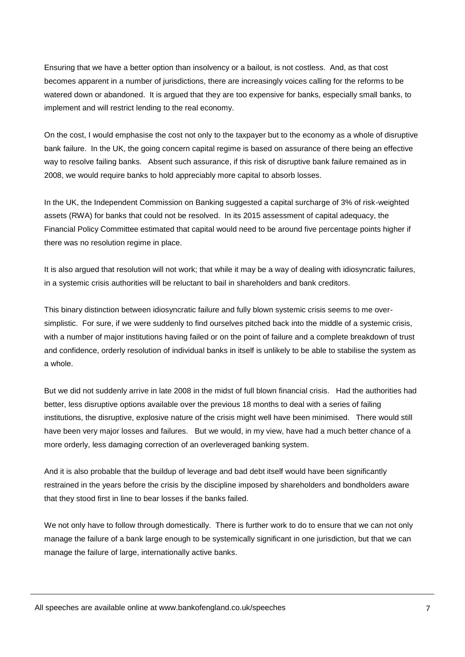Ensuring that we have a better option than insolvency or a bailout, is not costless. And, as that cost becomes apparent in a number of jurisdictions, there are increasingly voices calling for the reforms to be watered down or abandoned. It is argued that they are too expensive for banks, especially small banks, to implement and will restrict lending to the real economy.

On the cost, I would emphasise the cost not only to the taxpayer but to the economy as a whole of disruptive bank failure. In the UK, the going concern capital regime is based on assurance of there being an effective way to resolve failing banks. Absent such assurance, if this risk of disruptive bank failure remained as in 2008, we would require banks to hold appreciably more capital to absorb losses.

In the UK, the Independent Commission on Banking suggested a capital surcharge of 3% of risk-weighted assets (RWA) for banks that could not be resolved. In its 2015 assessment of capital adequacy, the Financial Policy Committee estimated that capital would need to be around five percentage points higher if there was no resolution regime in place.

It is also argued that resolution will not work; that while it may be a way of dealing with idiosyncratic failures, in a systemic crisis authorities will be reluctant to bail in shareholders and bank creditors.

This binary distinction between idiosyncratic failure and fully blown systemic crisis seems to me oversimplistic. For sure, if we were suddenly to find ourselves pitched back into the middle of a systemic crisis, with a number of major institutions having failed or on the point of failure and a complete breakdown of trust and confidence, orderly resolution of individual banks in itself is unlikely to be able to stabilise the system as a whole.

But we did not suddenly arrive in late 2008 in the midst of full blown financial crisis. Had the authorities had better, less disruptive options available over the previous 18 months to deal with a series of failing institutions, the disruptive, explosive nature of the crisis might well have been minimised. There would still have been very major losses and failures. But we would, in my view, have had a much better chance of a more orderly, less damaging correction of an overleveraged banking system.

And it is also probable that the buildup of leverage and bad debt itself would have been significantly restrained in the years before the crisis by the discipline imposed by shareholders and bondholders aware that they stood first in line to bear losses if the banks failed.

We not only have to follow through domestically. There is further work to do to ensure that we can not only manage the failure of a bank large enough to be systemically significant in one jurisdiction, but that we can manage the failure of large, internationally active banks.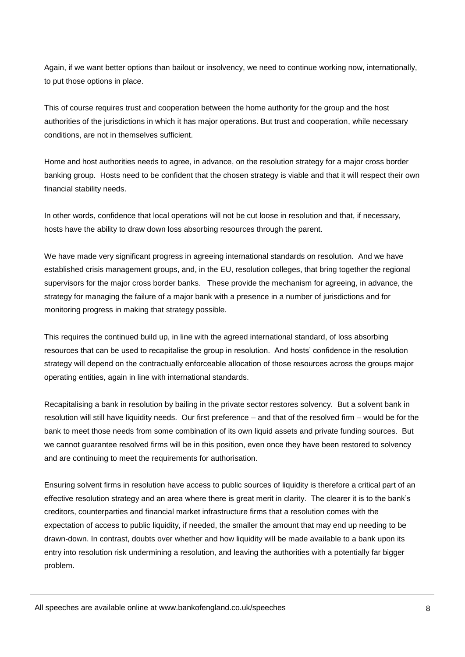Again, if we want better options than bailout or insolvency, we need to continue working now, internationally, to put those options in place.

This of course requires trust and cooperation between the home authority for the group and the host authorities of the jurisdictions in which it has major operations. But trust and cooperation, while necessary conditions, are not in themselves sufficient.

Home and host authorities needs to agree, in advance, on the resolution strategy for a major cross border banking group. Hosts need to be confident that the chosen strategy is viable and that it will respect their own financial stability needs.

In other words, confidence that local operations will not be cut loose in resolution and that, if necessary, hosts have the ability to draw down loss absorbing resources through the parent.

We have made very significant progress in agreeing international standards on resolution. And we have established crisis management groups, and, in the EU, resolution colleges, that bring together the regional supervisors for the major cross border banks. These provide the mechanism for agreeing, in advance, the strategy for managing the failure of a major bank with a presence in a number of jurisdictions and for monitoring progress in making that strategy possible.

This requires the continued build up, in line with the agreed international standard, of loss absorbing resources that can be used to recapitalise the group in resolution. And hosts' confidence in the resolution strategy will depend on the contractually enforceable allocation of those resources across the groups major operating entities, again in line with international standards.

Recapitalising a bank in resolution by bailing in the private sector restores solvency. But a solvent bank in resolution will still have liquidity needs. Our first preference – and that of the resolved firm – would be for the bank to meet those needs from some combination of its own liquid assets and private funding sources. But we cannot guarantee resolved firms will be in this position, even once they have been restored to solvency and are continuing to meet the requirements for authorisation.

Ensuring solvent firms in resolution have access to public sources of liquidity is therefore a critical part of an effective resolution strategy and an area where there is great merit in clarity. The clearer it is to the bank's creditors, counterparties and financial market infrastructure firms that a resolution comes with the expectation of access to public liquidity, if needed, the smaller the amount that may end up needing to be drawn-down. In contrast, doubts over whether and how liquidity will be made available to a bank upon its entry into resolution risk undermining a resolution, and leaving the authorities with a potentially far bigger problem.

All speeches are available online at www.bankofengland.co.uk/speeches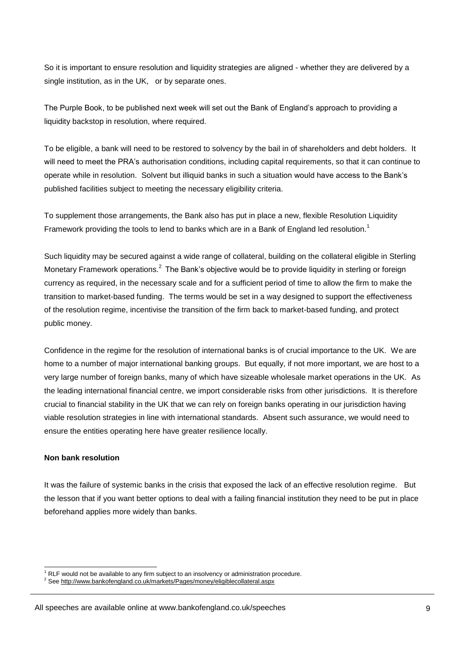So it is important to ensure resolution and liquidity strategies are aligned - whether they are delivered by a single institution, as in the UK, or by separate ones.

The Purple Book, to be published next week will set out the Bank of England's approach to providing a liquidity backstop in resolution, where required.

To be eligible, a bank will need to be restored to solvency by the bail in of shareholders and debt holders. It will need to meet the PRA's authorisation conditions, including capital requirements, so that it can continue to operate while in resolution. Solvent but illiquid banks in such a situation would have access to the Bank's published facilities subject to meeting the necessary eligibility criteria.

To supplement those arrangements, the Bank also has put in place a new, flexible Resolution Liquidity Framework providing the tools to lend to banks which are in a Bank of England led resolution.<sup>1</sup>

Such liquidity may be secured against a wide range of collateral, building on the collateral eligible in Sterling Monetary Framework operations.<sup>2</sup> The Bank's objective would be to provide liquidity in sterling or foreign currency as required, in the necessary scale and for a sufficient period of time to allow the firm to make the transition to market-based funding. The terms would be set in a way designed to support the effectiveness of the resolution regime, incentivise the transition of the firm back to market-based funding, and protect public money.

Confidence in the regime for the resolution of international banks is of crucial importance to the UK. We are home to a number of major international banking groups. But equally, if not more important, we are host to a very large number of foreign banks, many of which have sizeable wholesale market operations in the UK. As the leading international financial centre, we import considerable risks from other jurisdictions. It is therefore crucial to financial stability in the UK that we can rely on foreign banks operating in our jurisdiction having viable resolution strategies in line with international standards. Absent such assurance, we would need to ensure the entities operating here have greater resilience locally.

#### **Non bank resolution**

1

It was the failure of systemic banks in the crisis that exposed the lack of an effective resolution regime. But the lesson that if you want better options to deal with a failing financial institution they need to be put in place beforehand applies more widely than banks.

RLF would not be available to any firm subject to an insolvency or administration procedure.

<sup>2</sup> Se[e http://www.bankofengland.co.uk/markets/Pages/money/eligiblecollateral.aspx](http://www.bankofengland.co.uk/markets/Pages/money/eligiblecollateral.aspx)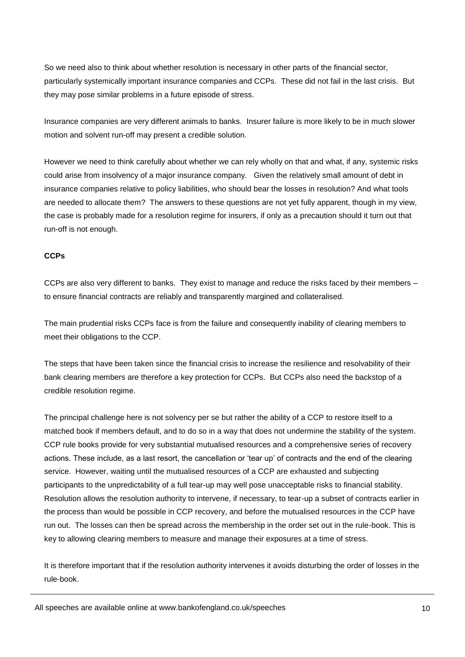So we need also to think about whether resolution is necessary in other parts of the financial sector, particularly systemically important insurance companies and CCPs. These did not fail in the last crisis. But they may pose similar problems in a future episode of stress.

Insurance companies are very different animals to banks. Insurer failure is more likely to be in much slower motion and solvent run-off may present a credible solution.

However we need to think carefully about whether we can rely wholly on that and what, if any, systemic risks could arise from insolvency of a major insurance company. Given the relatively small amount of debt in insurance companies relative to policy liabilities, who should bear the losses in resolution? And what tools are needed to allocate them? The answers to these questions are not yet fully apparent, though in my view, the case is probably made for a resolution regime for insurers, if only as a precaution should it turn out that run-off is not enough.

#### **CCPs**

CCPs are also very different to banks. They exist to manage and reduce the risks faced by their members – to ensure financial contracts are reliably and transparently margined and collateralised.

The main prudential risks CCPs face is from the failure and consequently inability of clearing members to meet their obligations to the CCP.

The steps that have been taken since the financial crisis to increase the resilience and resolvability of their bank clearing members are therefore a key protection for CCPs. But CCPs also need the backstop of a credible resolution regime.

The principal challenge here is not solvency per se but rather the ability of a CCP to restore itself to a matched book if members default, and to do so in a way that does not undermine the stability of the system. CCP rule books provide for very substantial mutualised resources and a comprehensive series of recovery actions. These include, as a last resort, the cancellation or 'tear up' of contracts and the end of the clearing service. However, waiting until the mutualised resources of a CCP are exhausted and subjecting participants to the unpredictability of a full tear-up may well pose unacceptable risks to financial stability. Resolution allows the resolution authority to intervene, if necessary, to tear-up a subset of contracts earlier in the process than would be possible in CCP recovery, and before the mutualised resources in the CCP have run out. The losses can then be spread across the membership in the order set out in the rule-book. This is key to allowing clearing members to measure and manage their exposures at a time of stress.

It is therefore important that if the resolution authority intervenes it avoids disturbing the order of losses in the rule-book.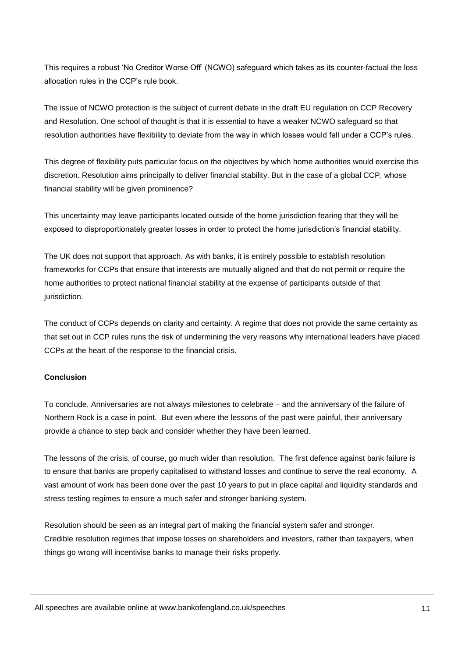This requires a robust 'No Creditor Worse Off' (NCWO) safeguard which takes as its counter-factual the loss allocation rules in the CCP's rule book.

The issue of NCWO protection is the subject of current debate in the draft EU regulation on CCP Recovery and Resolution. One school of thought is that it is essential to have a weaker NCWO safeguard so that resolution authorities have flexibility to deviate from the way in which losses would fall under a CCP's rules.

This degree of flexibility puts particular focus on the objectives by which home authorities would exercise this discretion. Resolution aims principally to deliver financial stability. But in the case of a global CCP, whose financial stability will be given prominence?

This uncertainty may leave participants located outside of the home jurisdiction fearing that they will be exposed to disproportionately greater losses in order to protect the home jurisdiction's financial stability.

The UK does not support that approach. As with banks, it is entirely possible to establish resolution frameworks for CCPs that ensure that interests are mutually aligned and that do not permit or require the home authorities to protect national financial stability at the expense of participants outside of that jurisdiction.

The conduct of CCPs depends on clarity and certainty. A regime that does not provide the same certainty as that set out in CCP rules runs the risk of undermining the very reasons why international leaders have placed CCPs at the heart of the response to the financial crisis.

## **Conclusion**

To conclude. Anniversaries are not always milestones to celebrate – and the anniversary of the failure of Northern Rock is a case in point. But even where the lessons of the past were painful, their anniversary provide a chance to step back and consider whether they have been learned.

The lessons of the crisis, of course, go much wider than resolution. The first defence against bank failure is to ensure that banks are properly capitalised to withstand losses and continue to serve the real economy. A vast amount of work has been done over the past 10 years to put in place capital and liquidity standards and stress testing regimes to ensure a much safer and stronger banking system.

Resolution should be seen as an integral part of making the financial system safer and stronger. Credible resolution regimes that impose losses on shareholders and investors, rather than taxpayers, when things go wrong will incentivise banks to manage their risks properly.